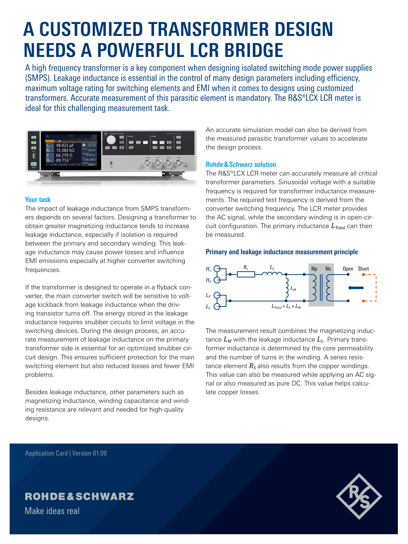# **A CUSTOMIZED TRANSFORMER DESIGN NEEDS A POWERFUL LCR BRIDGE**

A high frequency transformer is a key component when designing isolated switching mode power supplies (SMPS). Leakage inductance is essential in the control of many design parameters including efficiency, maximum voltage rating for switching elements and EMI when it comes to designs using customized transformers. Accurate measurement of this parasitic element is mandatory. The R&S®LCX LCR meter is ideal for this challenging measurement task.



### **Your task**

The impact of leakage inductance from SMPS transformers depends on several factors. Designing a transformer to obtain greater magnetizing inductance tends to increase leakage inductance, especially if isolation is required between the primary and secondary winding. This leakage inductance may cause power losses and influence EMI emissions especially at higher converter switching frequencies.

If the transformer is designed to operate in a flyback converter, the main converter switch will be sensitive to voltage kickback from leakage inductance when the driving transistor turns off. The energy stored in the leakage inductance requires snubber circuits to limit voltage in the switching devices. During the design process, an accurate measurement of leakage inductance on the primary transformer side is essential for an optimized snubber circuit design. This ensures sufficient protection for the main switching element but also reduced losses and fewer EMI problems.

Besides leakage inductance, other parameters such as magnetizing inductance, winding capacitance and winding resistance are relevant and needed for high-quality designs.

An accurate simulation model can also be derived from the measured parasitic transformer values to accelerate the design process.

# **Rohde&Schwarz solution**

The R&S®LCX LCR meter can accurately measure all critical transformer parameters. Sinusoidal voltage with a suitable frequency is required for transformer inductance measurements. The required test frequency is derived from the converter switching frequency. The LCR meter provides the AC signal, while the secondary winding is in open-circuit configuration. The primary inductance  $L_{Total}$  can then be measured.

# **Primary and leakage inductance measurement principle**



The measurement result combines the magnetizing inductance  $L_M$  with the leakage inductance  $L_L$ . Primary transformer inductance is determined by the core permeability and the number of turns in the winding. A series resistance element  $R<sub>S</sub>$  also results from the copper windings. This value can also be measured while applying an AC signal or also measured as pure DC. This value helps calculate copper losses.

Application Card | Version 01.00



# **ROHDE&SCHWARZ**

Make ideas real